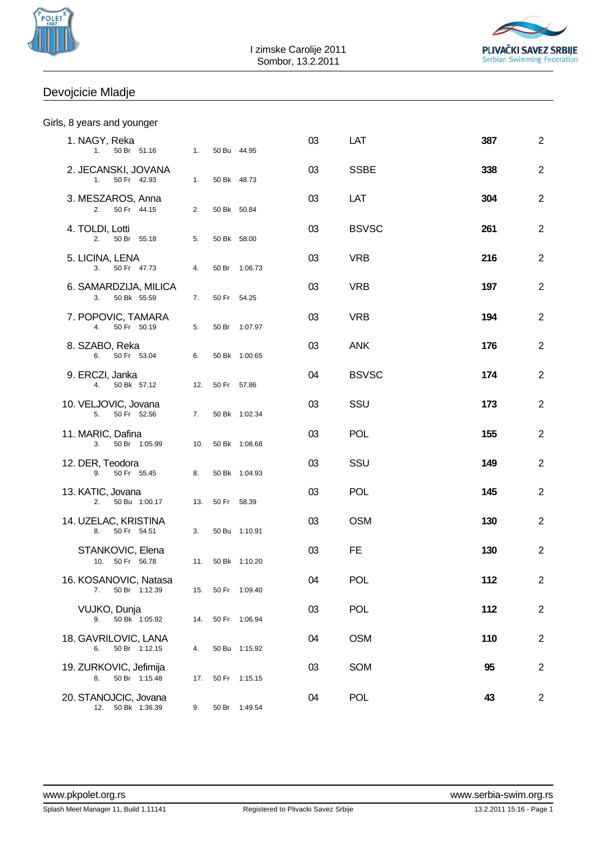



## Devojcicie Mladje

|  |  |  |  | Girls, 8 years and younger |
|--|--|--|--|----------------------------|
|--|--|--|--|----------------------------|

| 1. NAGY, Reka<br>1. 50 Br 51.16 1.            |    |                 | 50 Bu 44.95       | 03 | LAT          | 387 | $\mathbf{2}$   |
|-----------------------------------------------|----|-----------------|-------------------|----|--------------|-----|----------------|
| 2. JECANSKI, JOVANA<br>1. 50 Fr 42.93         | 1. |                 | 50 Bk 48.73       | 03 | <b>SSBE</b>  | 338 | $\overline{2}$ |
| 3. MESZAROS, Anna<br>50 Fr 44.15<br>2.        | 2. |                 | 50 Bk 50.84       | 03 | LAT          | 304 | $\overline{2}$ |
| 4. TOLDI, Lotti<br>5.<br>2. 50 Br 55.18       |    |                 | 50 Bk 58.00       | 03 | <b>BSVSC</b> | 261 | $\overline{2}$ |
| 5. LICINA, LENA<br>50 Fr 47.73<br>3.          | 4. |                 | 50 Br 1:06.73     | 03 | <b>VRB</b>   | 216 | $\overline{2}$ |
| 6. SAMARDZIJA, MILICA<br>3. 50 Bk 55.59       | 7. |                 | 50 Fr 54.25       | 03 | <b>VRB</b>   | 197 | $\overline{2}$ |
| 7. POPOVIC, TAMARA<br>4. 50 Fr 50.19          | 5. |                 | 50 Br 1:07.97     | 03 | <b>VRB</b>   | 194 | $\overline{2}$ |
| 8. SZABO, Reka<br>6. 50 Fr 53.04              | 6. |                 | 50 Bk 1:00.65     | 03 | <b>ANK</b>   | 176 | $\overline{2}$ |
| 9. ERCZI, Janka<br>4. 50 Bk 57.12             |    | 12. 50 Fr 57.86 |                   | 04 | <b>BSVSC</b> | 174 | $\overline{2}$ |
| 10. VELJOVIC, Jovana<br>5. 50 Fr 52.56        |    |                 | 7. 50 Bk 1:02.34  | 03 | SSU          | 173 | $\overline{2}$ |
| 11. MARIC, Dafina<br>50 Br 1:05.99<br>3.      |    |                 | 10. 50 Bk 1:08.68 | 03 | <b>POL</b>   | 155 | $\overline{2}$ |
| 12. DER, Teodora<br>9. 50 Fr 55.45            |    |                 | 8. 50 Bk 1:04.93  | 03 | SSU          | 149 | $\overline{2}$ |
| 13. KATIC, Jovana<br>2. 50 Bu 1:00.17         |    | 13. 50 Fr 58.39 |                   | 03 | <b>POL</b>   | 145 | $\overline{2}$ |
| 14. UZELAC, KRISTINA<br>8. 50 Fr 54.51        | 3. |                 | 50 Bu 1:10.91     | 03 | <b>OSM</b>   | 130 | $\overline{2}$ |
| STANKOVIC, Elena<br>10. 50 Fr 56.78           |    |                 | 11. 50 Bk 1:10.20 | 03 | FE.          | 130 | $\overline{2}$ |
| 16. KOSANOVIC, Natasa<br>7.<br>50 Br 1:12.39  |    |                 | 15. 50 Fr 1:09.40 | 04 | <b>POL</b>   | 112 | $\overline{2}$ |
| VUJKO, Dunja<br>50 Bk 1:05.92<br>9.           |    |                 | 14. 50 Fr 1:06.94 | 03 | <b>POL</b>   | 112 | $\overline{2}$ |
| 18. GAVRILOVIC, LANA<br>50 Br 1:12.15<br>6.   | 4. |                 | 50 Bu 1:15.92     | 04 | <b>OSM</b>   | 110 | $\overline{2}$ |
| 19. ZURKOVIC, Jefimija<br>50 Br 1:15.48<br>8. |    |                 | 17. 50 Fr 1:15.15 | 03 | <b>SOM</b>   | 95  | $\overline{c}$ |
| 20. STANOJCIC, Jovana<br>50 Bk 1:36.39<br>12. | 9. |                 | 50 Br 1:49.54     | 04 | <b>POL</b>   | 43  | $\overline{2}$ |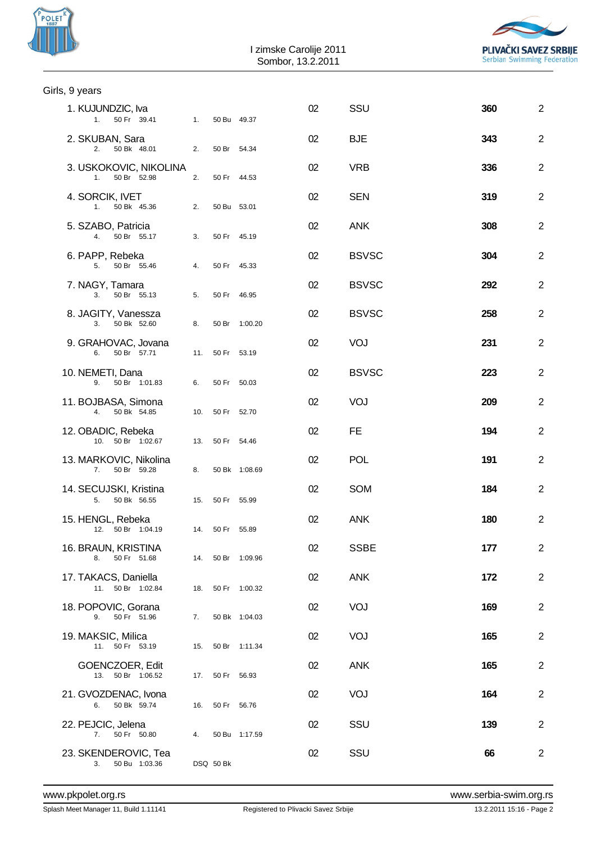



| Girls, 9 years                                     |    |                 |                   |    |              |     |                |
|----------------------------------------------------|----|-----------------|-------------------|----|--------------|-----|----------------|
| 1. KUJUNDZIC, Iva<br>1. 50 Fr 39.41 1. 50 Bu 49.37 |    |                 |                   | 02 | SSU          | 360 | $\overline{2}$ |
| 2. SKUBAN, Sara<br>2. 50 Bk 48.01                  | 2. | 50 Br 54.34     |                   | 02 | <b>BJE</b>   | 343 | $\overline{2}$ |
| 3. USKOKOVIC, NIKOLINA<br>1. 50 Br 52.98           | 2. | 50 Fr 44.53     |                   | 02 | <b>VRB</b>   | 336 | 2              |
| 4. SORCIK, IVET<br>1. 50 Bk 45.36                  | 2. | 50 Bu 53.01     |                   | 02 | <b>SEN</b>   | 319 | 2              |
| 5. SZABO, Patricia<br>4. 50 Br 55.17               | 3. | 50 Fr 45.19     |                   | 02 | <b>ANK</b>   | 308 | $\overline{2}$ |
| 6. PAPP, Rebeka<br>5. 50 Br 55.46                  | 4. | 50 Fr 45.33     |                   | 02 | <b>BSVSC</b> | 304 | $\overline{2}$ |
| 7. NAGY, Tamara<br>3. 50 Br 55.13                  | 5. | 50 Fr 46.95     |                   | 02 | <b>BSVSC</b> | 292 | $\overline{2}$ |
| 8. JAGITY, Vanessza<br>3. 50 Bk 52.60              | 8. |                 | 50 Br 1:00.20     | 02 | <b>BSVSC</b> | 258 | 2              |
| 9. GRAHOVAC, Jovana<br>6. 50 Br 57.71              |    | 11. 50 Fr 53.19 |                   | 02 | VOJ          | 231 | $\overline{2}$ |
| 10. NEMETI, Dana<br>9. 50 Br 1:01.83               | 6. | 50 Fr 50.03     |                   | 02 | <b>BSVSC</b> | 223 | 2              |
| 11. BOJBASA, Simona<br>4. 50 Bk 54.85              |    | 10. 50 Fr 52.70 |                   | 02 | VOJ          | 209 | 2              |
| 12. OBADIC, Rebeka<br>10. 50 Br 1:02.67            |    | 13. 50 Fr 54.46 |                   | 02 | FE.          | 194 | $\overline{2}$ |
| 13. MARKOVIC, Nikolina<br>50 Br 59.28<br>7.        | 8. |                 | 50 Bk 1:08.69     | 02 | <b>POL</b>   | 191 | 2              |
| 14. SECUJSKI, Kristina<br>5. 50 Bk 56.55           |    | 15. 50 Fr 55.99 |                   | 02 | <b>SOM</b>   | 184 | $\overline{2}$ |
| 15. HENGL, Rebeka<br>12. 50 Br 1:04.19             |    | 14. 50 Fr 55.89 |                   | 02 | <b>ANK</b>   | 180 | 2              |
| 16. BRAUN, KRISTINA<br>8. 50 Fr 51.68              |    |                 | 14. 50 Br 1:09.96 | 02 | <b>SSBE</b>  | 177 | $\overline{2}$ |
| 17. TAKACS, Daniella<br>11. 50 Br 1:02.84          |    |                 | 18. 50 Fr 1:00.32 | 02 | <b>ANK</b>   | 172 | $\overline{2}$ |
| 18. POPOVIC, Gorana<br>9. 50 Fr 51.96              | 7. |                 | 50 Bk 1:04.03     | 02 | VOJ          | 169 | 2              |
| 19. MAKSIC, Milica<br>11. 50 Fr 53.19              |    |                 | 15. 50 Br 1:11.34 | 02 | VOJ          | 165 | $\overline{2}$ |
| GOENCZOER, Edit<br>13. 50 Br 1:06.52               |    | 17. 50 Fr 56.93 |                   | 02 | <b>ANK</b>   | 165 | $\overline{2}$ |
| 21. GVOZDENAC, Ivona<br>50 Bk 59.74<br>6.          |    | 16. 50 Fr 56.76 |                   | 02 | VOJ          | 164 | $\overline{2}$ |
| 22. PEJCIC, Jelena<br>7. 50 Fr 50.80               | 4. |                 | 50 Bu 1:17.59     | 02 | SSU          | 139 | $\overline{2}$ |
| 23. SKENDEROVIC, Tea<br>50 Bu 1:03.36<br>3.        |    | DSQ 50 Bk       |                   | 02 | SSU          | 66  | 2              |
|                                                    |    |                 |                   |    |              |     |                |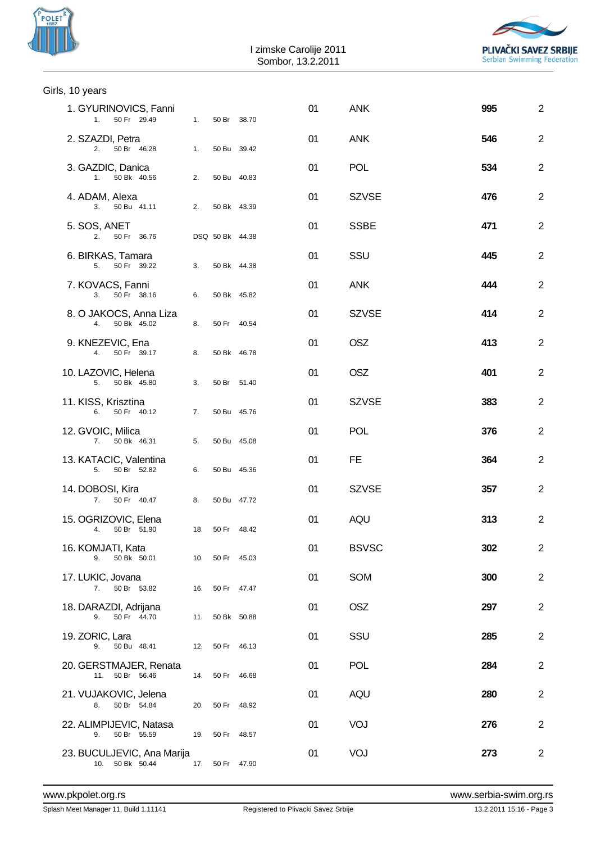| POLET |  |
|-------|--|
|       |  |



| Girls, 10 years                               |    |                 |    |              |     |                |
|-----------------------------------------------|----|-----------------|----|--------------|-----|----------------|
| 1. GYURINOVICS, Fanni<br>50 Fr 29.49<br>1.    | 1. | 50 Br 38.70     | 01 | <b>ANK</b>   | 995 | $\overline{2}$ |
| 2. SZAZDI, Petra<br>2. 50 Br 46.28            | 1. | 50 Bu 39.42     | 01 | <b>ANK</b>   | 546 | $\overline{2}$ |
| 3. GAZDIC, Danica<br>1. 50 Bk 40.56           | 2. | 50 Bu 40.83     | 01 | <b>POL</b>   | 534 | $\overline{2}$ |
| 4. ADAM, Alexa<br>3. 50 Bu 41.11              | 2. | 50 Bk 43.39     | 01 | <b>SZVSE</b> | 476 | $\overline{2}$ |
| 5. SOS, ANET<br>2.<br>50 Fr 36.76             |    | DSQ 50 Bk 44.38 | 01 | <b>SSBE</b>  | 471 | $\overline{2}$ |
| 6. BIRKAS, Tamara<br>5. 50 Fr 39.22           | 3. | 50 Bk 44.38     | 01 | SSU          | 445 | $\overline{2}$ |
| 7. KOVACS, Fanni<br>3. 50 Fr 38.16            | 6. | 50 Bk 45.82     | 01 | <b>ANK</b>   | 444 | $\overline{2}$ |
| 8. O JAKOCS, Anna Liza<br>50 Bk 45.02<br>4.   | 8. | 50 Fr 40.54     | 01 | <b>SZVSE</b> | 414 | $\overline{2}$ |
| 9. KNEZEVIC, Ena<br>4. 50 Fr 39.17            | 8. | 50 Bk 46.78     | 01 | <b>OSZ</b>   | 413 | $\overline{2}$ |
| 10. LAZOVIC, Helena<br>5. 50 Bk 45.80         | 3. | 50 Br 51.40     | 01 | <b>OSZ</b>   | 401 | $\overline{2}$ |
| 11. KISS, Krisztina<br>50 Fr 40.12<br>6.      | 7. | 50 Bu 45.76     | 01 | <b>SZVSE</b> | 383 | $\overline{2}$ |
| 12. GVOIC, Milica<br>7. 50 Bk 46.31           | 5. | 50 Bu 45.08     | 01 | <b>POL</b>   | 376 | $\overline{2}$ |
| 13. KATACIC, Valentina<br>5. 50 Br 52.82      | 6. | 50 Bu 45.36     | 01 | FE.          | 364 | $\overline{2}$ |
| 14. DOBOSI, Kira<br>7. 50 Fr 40.47            | 8. | 50 Bu 47.72     | 01 | <b>SZVSE</b> | 357 | $\overline{2}$ |
| 15. OGRIZOVIC, Elena<br>4. 50 Br 51.90        |    | 18. 50 Fr 48.42 | 01 | AQU          | 313 | $\overline{2}$ |
| 16. KOMJATI, Kata<br>50 Bk 50.01<br>9.        |    | 10. 50 Fr 45.03 | 01 | <b>BSVSC</b> | 302 | $\overline{2}$ |
| 17. LUKIC, Jovana<br>7.<br>50 Br 53.82        |    | 16. 50 Fr 47.47 | 01 | SOM          | 300 | $\overline{2}$ |
| 18. DARAZDI, Adrijana<br>50 Fr 44.70<br>9.    |    | 11. 50 Bk 50.88 | 01 | <b>OSZ</b>   | 297 | 2              |
| 19. ZORIC, Lara<br>9. 50 Bu 48.41             |    | 12. 50 Fr 46.13 | 01 | SSU          | 285 | 2              |
| 20. GERSTMAJER, Renata<br>11. 50 Br 56.46     |    | 14. 50 Fr 46.68 | 01 | <b>POL</b>   | 284 | $\overline{2}$ |
| 21. VUJAKOVIC, Jelena<br>50 Br 54.84<br>8.    |    | 20. 50 Fr 48.92 | 01 | AQU          | 280 | 2              |
| 22. ALIMPIJEVIC, Natasa<br>9.<br>50 Br 55.59  |    | 19. 50 Fr 48.57 | 01 | VOJ          | 276 | 2              |
| 23. BUCULJEVIC, Ana Marija<br>10. 50 Bk 50.44 |    | 17. 50 Fr 47.90 | 01 | VOJ          | 273 | $\overline{2}$ |